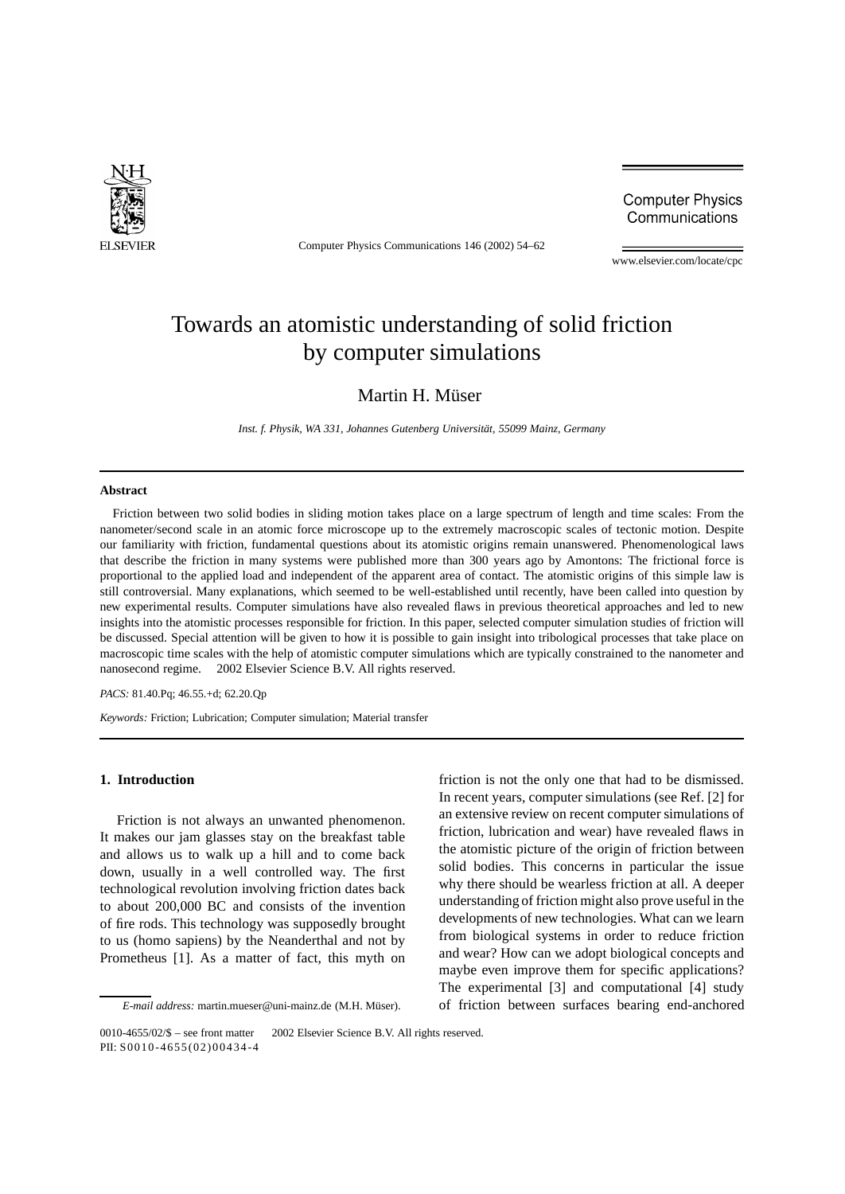

Computer Physics Communications 146 (2002) 54–62

**Computer Physics** Communications

www.elsevier.com/locate/cpc

# Towards an atomistic understanding of solid friction by computer simulations

Martin H. Müser

*Inst. f. Physik, WA 331, Johannes Gutenberg Universität, 55099 Mainz, Germany*

#### **Abstract**

Friction between two solid bodies in sliding motion takes place on a large spectrum of length and time scales: From the nanometer/second scale in an atomic force microscope up to the extremely macroscopic scales of tectonic motion. Despite our familiarity with friction, fundamental questions about its atomistic origins remain unanswered. Phenomenological laws that describe the friction in many systems were published more than 300 years ago by Amontons: The frictional force is proportional to the applied load and independent of the apparent area of contact. The atomistic origins of this simple law is still controversial. Many explanations, which seemed to be well-established until recently, have been called into question by new experimental results. Computer simulations have also revealed flaws in previous theoretical approaches and led to new insights into the atomistic processes responsible for friction. In this paper, selected computer simulation studies of friction will be discussed. Special attention will be given to how it is possible to gain insight into tribological processes that take place on macroscopic time scales with the help of atomistic computer simulations which are typically constrained to the nanometer and nanosecond regime.  $\odot$  2002 Elsevier Science B.V. All rights reserved.

*PACS:* 81.40.Pq; 46.55.+d; 62.20.Qp

*Keywords:* Friction; Lubrication; Computer simulation; Material transfer

## **1. Introduction**

Friction is not always an unwanted phenomenon. It makes our jam glasses stay on the breakfast table and allows us to walk up a hill and to come back down, usually in a well controlled way. The first technological revolution involving friction dates back to about 200,000 BC and consists of the invention of fire rods. This technology was supposedly brought to us (homo sapiens) by the Neanderthal and not by Prometheus [1]. As a matter of fact, this myth on friction is not the only one that had to be dismissed. In recent years, computer simulations (see Ref. [2] for an extensive review on recent computer simulations of friction, lubrication and wear) have revealed flaws in the atomistic picture of the origin of friction between solid bodies. This concerns in particular the issue why there should be wearless friction at all. A deeper understanding of friction might also prove useful in the developments of new technologies. What can we learn from biological systems in order to reduce friction and wear? How can we adopt biological concepts and maybe even improve them for specific applications? The experimental [3] and computational [4] study of friction between surfaces bearing end-anchored

*E-mail address:* martin.mueser@uni-mainz.de (M.H. Müser).

<sup>0010-4655/02/\$ –</sup> see front matter  $\degree$  2002 Elsevier Science B.V. All rights reserved. PII: S0010-4655(02)00434-4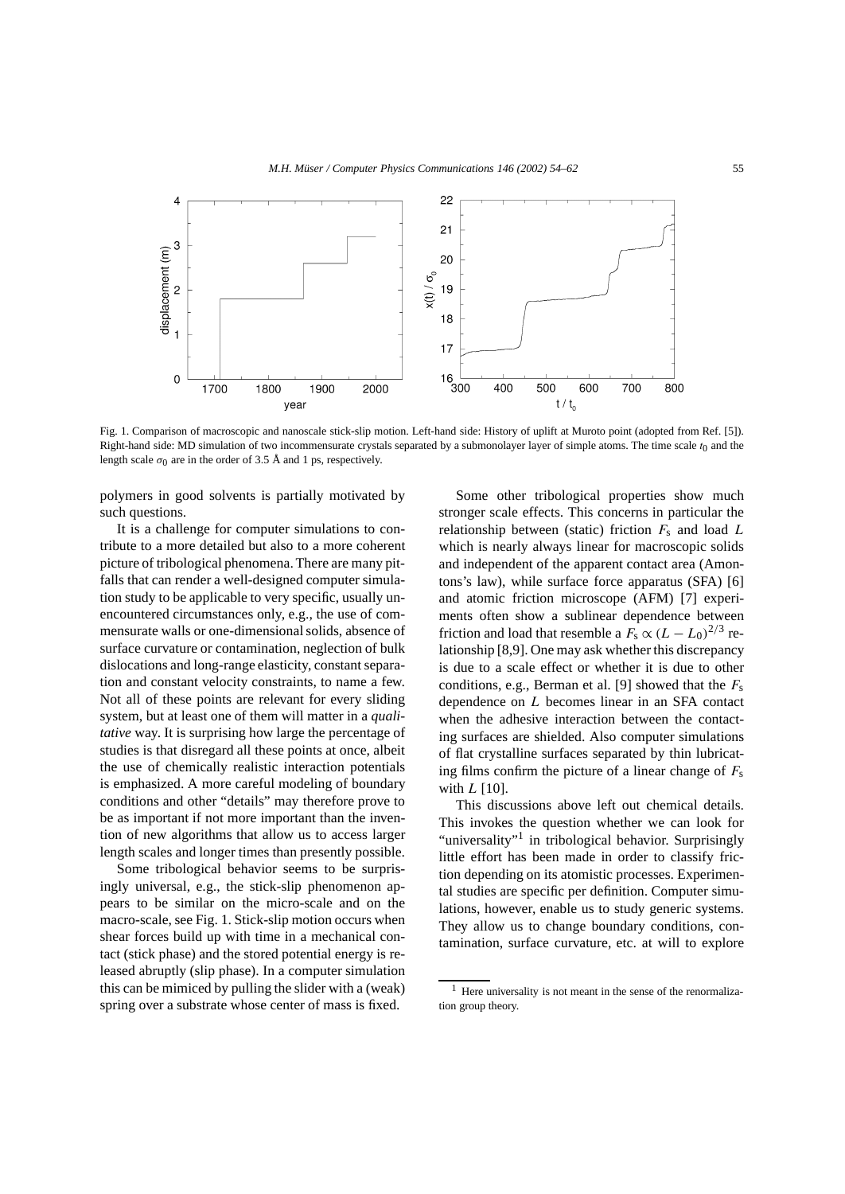

Fig. 1. Comparison of macroscopic and nanoscale stick-slip motion. Left-hand side: History of uplift at Muroto point (adopted from Ref. [5]). Right-hand side: MD simulation of two incommensurate crystals separated by a submonolayer layer of simple atoms. The time scale  $t_0$  and the length scale  $\sigma_0$  are in the order of 3.5 Å and 1 ps, respectively.

polymers in good solvents is partially motivated by such questions.

It is a challenge for computer simulations to contribute to a more detailed but also to a more coherent picture of tribological phenomena. There are many pitfalls that can render a well-designed computer simulation study to be applicable to very specific, usually unencountered circumstances only, e.g., the use of commensurate walls or one-dimensional solids, absence of surface curvature or contamination, neglection of bulk dislocations and long-range elasticity, constant separation and constant velocity constraints, to name a few. Not all of these points are relevant for every sliding system, but at least one of them will matter in a *qualitative* way. It is surprising how large the percentage of studies is that disregard all these points at once, albeit the use of chemically realistic interaction potentials is emphasized. A more careful modeling of boundary conditions and other "details" may therefore prove to be as important if not more important than the invention of new algorithms that allow us to access larger length scales and longer times than presently possible.

Some tribological behavior seems to be surprisingly universal, e.g., the stick-slip phenomenon appears to be similar on the micro-scale and on the macro-scale, see Fig. 1. Stick-slip motion occurs when shear forces build up with time in a mechanical contact (stick phase) and the stored potential energy is released abruptly (slip phase). In a computer simulation this can be mimiced by pulling the slider with a (weak) spring over a substrate whose center of mass is fixed.

Some other tribological properties show much stronger scale effects. This concerns in particular the relationship between (static) friction  $F_s$  and load  $L$ which is nearly always linear for macroscopic solids and independent of the apparent contact area (Amontons's law), while surface force apparatus (SFA) [6] and atomic friction microscope (AFM) [7] experiments often show a sublinear dependence between friction and load that resemble a  $F_s \propto (L - L_0)^{2/3}$  relationship [8,9]. One may ask whether this discrepancy is due to a scale effect or whether it is due to other conditions, e.g., Berman et al. [9] showed that the *F*<sup>s</sup> dependence on *L* becomes linear in an SFA contact when the adhesive interaction between the contacting surfaces are shielded. Also computer simulations of flat crystalline surfaces separated by thin lubricating films confirm the picture of a linear change of *F*<sup>s</sup> with *L* [10].

This discussions above left out chemical details. This invokes the question whether we can look for "universality"<sup>1</sup> in tribological behavior. Surprisingly little effort has been made in order to classify friction depending on its atomistic processes. Experimental studies are specific per definition. Computer simulations, however, enable us to study generic systems. They allow us to change boundary conditions, contamination, surface curvature, etc. at will to explore

<sup>1</sup> Here universality is not meant in the sense of the renormalization group theory.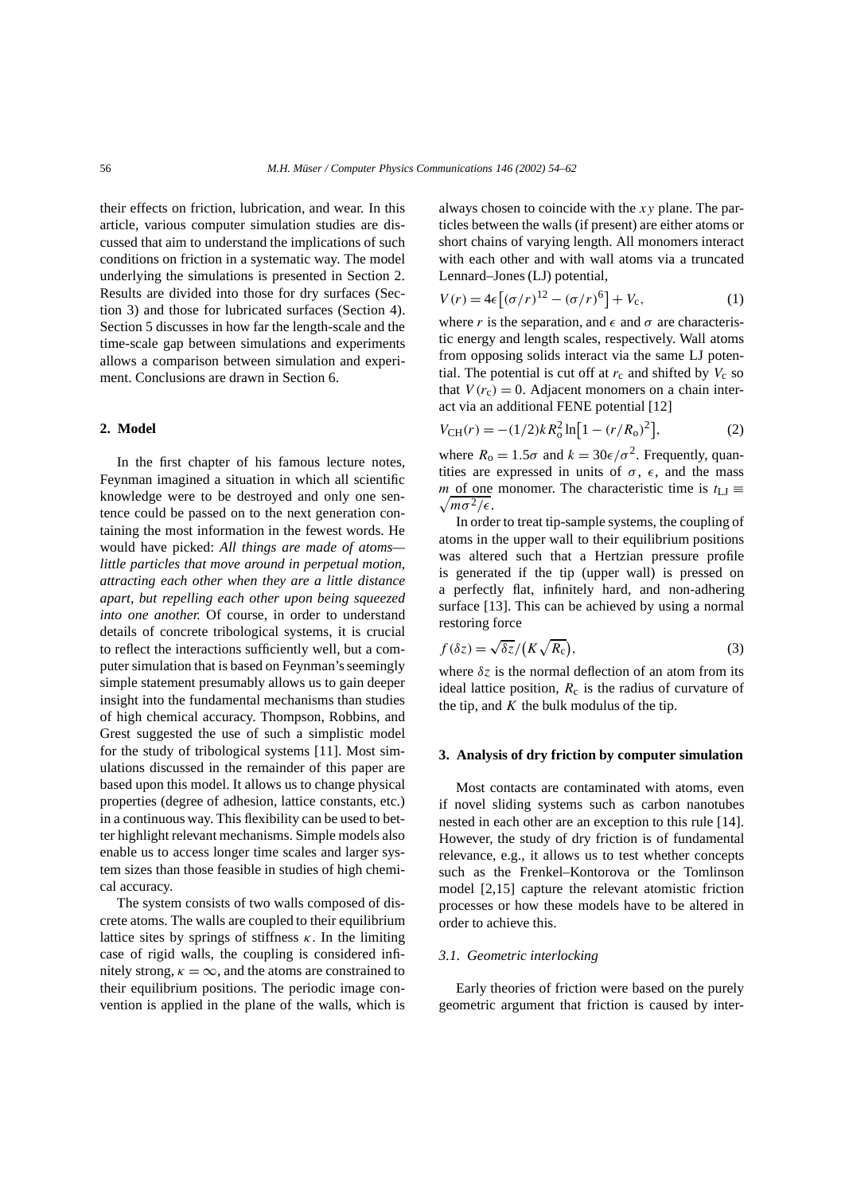their effects on friction, lubrication, and wear. In this article, various computer simulation studies are discussed that aim to understand the implications of such conditions on friction in a systematic way. The model underlying the simulations is presented in Section 2. Results are divided into those for dry surfaces (Section 3) and those for lubricated surfaces (Section 4). Section 5 discusses in how far the length-scale and the time-scale gap between simulations and experiments allows a comparison between simulation and experiment. Conclusions are drawn in Section 6.

## **2. Model**

In the first chapter of his famous lecture notes, Feynman imagined a situation in which all scientific knowledge were to be destroyed and only one sentence could be passed on to the next generation containing the most information in the fewest words. He would have picked: *All things are made of atoms little particles that move around in perpetual motion, attracting each other when they are a little distance apart, but repelling each other upon being squeezed into one another.* Of course, in order to understand details of concrete tribological systems, it is crucial to reflect the interactions sufficiently well, but a computer simulation that is based on Feynman's seemingly simple statement presumably allows us to gain deeper insight into the fundamental mechanisms than studies of high chemical accuracy. Thompson, Robbins, and Grest suggested the use of such a simplistic model for the study of tribological systems [11]. Most simulations discussed in the remainder of this paper are based upon this model. It allows us to change physical properties (degree of adhesion, lattice constants, etc.) in a continuous way. This flexibility can be used to better highlight relevant mechanisms. Simple models also enable us to access longer time scales and larger system sizes than those feasible in studies of high chemical accuracy.

The system consists of two walls composed of discrete atoms. The walls are coupled to their equilibrium lattice sites by springs of stiffness  $\kappa$ . In the limiting case of rigid walls, the coupling is considered infinitely strong,  $\kappa = \infty$ , and the atoms are constrained to their equilibrium positions. The periodic image convention is applied in the plane of the walls, which is

always chosen to coincide with the *xy* plane. The particles between the walls (if present) are either atoms or short chains of varying length. All monomers interact with each other and with wall atoms via a truncated Lennard–Jones (LJ) potential,

$$
V(r) = 4\epsilon \left[ (\sigma/r)^{12} - (\sigma/r)^6 \right] + V_c,
$$
 (1)

where *r* is the separation, and  $\epsilon$  and  $\sigma$  are characteristic energy and length scales, respectively. Wall atoms from opposing solids interact via the same LJ potential. The potential is cut off at  $r_c$  and shifted by  $V_c$  so that  $V(r_c) = 0$ . Adjacent monomers on a chain interact via an additional FENE potential [12]

$$
V_{\text{CH}}(r) = -(1/2)kR_0^2 \ln[1 - (r/R_0)^2],\tag{2}
$$

where  $R_0 = 1.5\sigma$  and  $k = 30\epsilon/\sigma^2$ . Frequently, quantities are expressed in units of  $\sigma$ ,  $\epsilon$ , and the mass *m* of one monomer. The characteristic time is  $t_{LJ}$  ≡  $\sqrt{m\sigma^2/\epsilon}$ .

In order to treat tip-sample systems, the coupling of atoms in the upper wall to their equilibrium positions was altered such that a Hertzian pressure profile is generated if the tip (upper wall) is pressed on a perfectly flat, infinitely hard, and non-adhering surface [13]. This can be achieved by using a normal restoring force

$$
f(\delta z) = \sqrt{\delta z} / (K \sqrt{R_c}), \qquad (3)
$$

where  $\delta z$  is the normal deflection of an atom from its ideal lattice position,  $R_c$  is the radius of curvature of the tip, and *K* the bulk modulus of the tip.

#### **3. Analysis of dry friction by computer simulation**

Most contacts are contaminated with atoms, even if novel sliding systems such as carbon nanotubes nested in each other are an exception to this rule [14]. However, the study of dry friction is of fundamental relevance, e.g., it allows us to test whether concepts such as the Frenkel–Kontorova or the Tomlinson model [2,15] capture the relevant atomistic friction processes or how these models have to be altered in order to achieve this.

## *3.1. Geometric interlocking*

Early theories of friction were based on the purely geometric argument that friction is caused by inter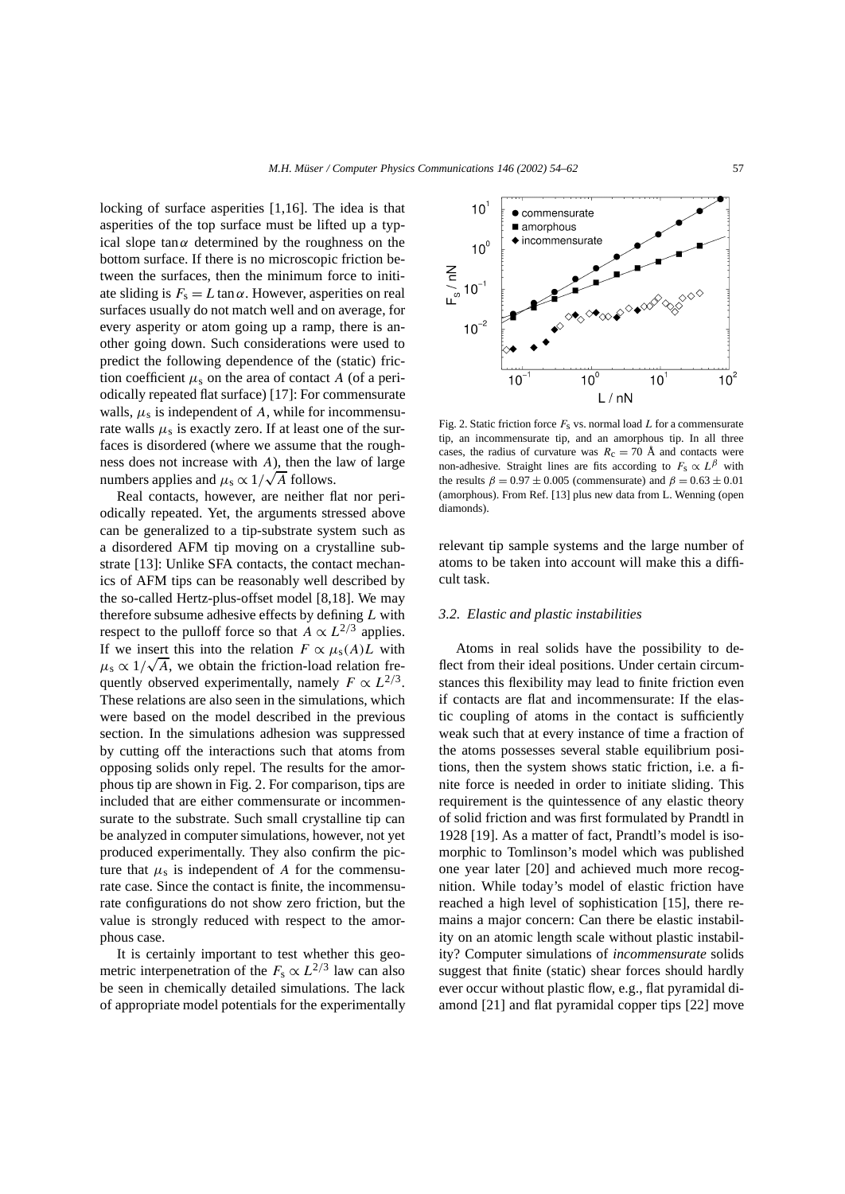locking of surface asperities [1,16]. The idea is that asperities of the top surface must be lifted up a typical slope tan $\alpha$  determined by the roughness on the bottom surface. If there is no microscopic friction between the surfaces, then the minimum force to initiate sliding is  $F_s = L \tan \alpha$ . However, asperities on real surfaces usually do not match well and on average, for every asperity or atom going up a ramp, there is another going down. Such considerations were used to predict the following dependence of the (static) friction coefficient  $\mu_s$  on the area of contact *A* (of a periodically repeated flat surface) [17]: For commensurate walls,  $\mu_s$  is independent of *A*, while for incommensurate walls  $\mu_s$  is exactly zero. If at least one of the surfaces is disordered (where we assume that the roughness does not increase with *A*), then the law of large numbers applies and  $\mu_s \propto 1/\sqrt{A}$  follows.

Real contacts, however, are neither flat nor periodically repeated. Yet, the arguments stressed above can be generalized to a tip-substrate system such as a disordered AFM tip moving on a crystalline substrate [13]: Unlike SFA contacts, the contact mechanics of AFM tips can be reasonably well described by the so-called Hertz-plus-offset model [8,18]. We may therefore subsume adhesive effects by defining *L* with respect to the pulloff force so that *A*  $\propto L^{2/3}$  applies. If we insert this into the relation  $F \propto \mu_s(A)L$  with  $\mu_s \propto 1/\sqrt{A}$ , we obtain the friction-load relation frequently observed experimentally, namely  $F \propto L^{2/3}$ . These relations are also seen in the simulations, which were based on the model described in the previous section. In the simulations adhesion was suppressed by cutting off the interactions such that atoms from opposing solids only repel. The results for the amorphous tip are shown in Fig. 2. For comparison, tips are included that are either commensurate or incommensurate to the substrate. Such small crystalline tip can be analyzed in computer simulations, however, not yet produced experimentally. They also confirm the picture that  $\mu_s$  is independent of *A* for the commensurate case. Since the contact is finite, the incommensurate configurations do not show zero friction, but the value is strongly reduced with respect to the amorphous case.

It is certainly important to test whether this geometric interpenetration of the  $F_s \propto L^{2/3}$  law can also be seen in chemically detailed simulations. The lack of appropriate model potentials for the experimentally



Fig. 2. Static friction force  $F_s$  vs. normal load  $L$  for a commensurate tip, an incommensurate tip, and an amorphous tip. In all three cases, the radius of curvature was  $R_c = 70 \text{ Å}$  and contacts were non-adhesive. Straight lines are fits according to  $F_s \propto L^{\beta}$  with the results  $\beta = 0.97 \pm 0.005$  (commensurate) and  $\beta = 0.63 \pm 0.01$ (amorphous). From Ref. [13] plus new data from L. Wenning (open diamonds).

relevant tip sample systems and the large number of atoms to be taken into account will make this a difficult task.

## *3.2. Elastic and plastic instabilities*

Atoms in real solids have the possibility to deflect from their ideal positions. Under certain circumstances this flexibility may lead to finite friction even if contacts are flat and incommensurate: If the elastic coupling of atoms in the contact is sufficiently weak such that at every instance of time a fraction of the atoms possesses several stable equilibrium positions, then the system shows static friction, i.e. a finite force is needed in order to initiate sliding. This requirement is the quintessence of any elastic theory of solid friction and was first formulated by Prandtl in 1928 [19]. As a matter of fact, Prandtl's model is isomorphic to Tomlinson's model which was published one year later [20] and achieved much more recognition. While today's model of elastic friction have reached a high level of sophistication [15], there remains a major concern: Can there be elastic instability on an atomic length scale without plastic instability? Computer simulations of *incommensurate* solids suggest that finite (static) shear forces should hardly ever occur without plastic flow, e.g., flat pyramidal diamond [21] and flat pyramidal copper tips [22] move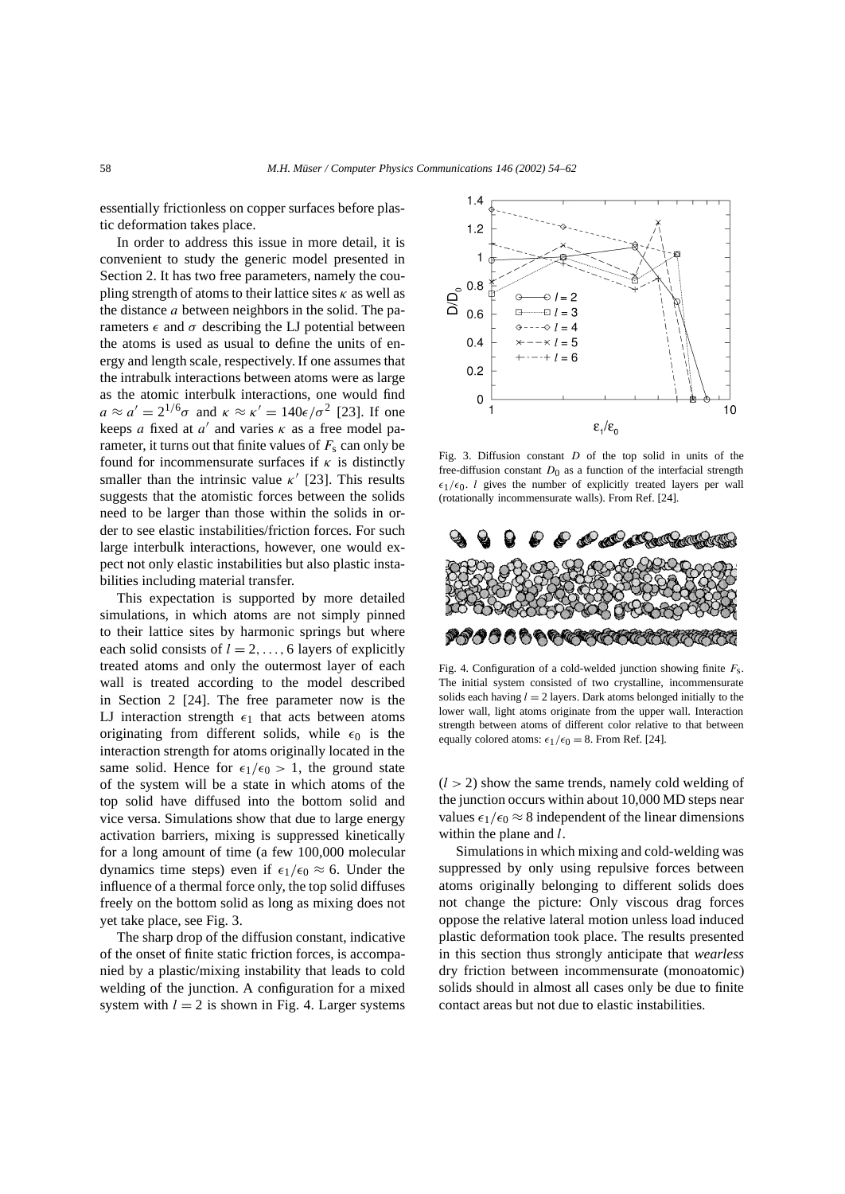essentially frictionless on copper surfaces before plastic deformation takes place.

In order to address this issue in more detail, it is convenient to study the generic model presented in Section 2. It has two free parameters, namely the coupling strength of atoms to their lattice sites *κ* as well as the distance *a* between neighbors in the solid. The parameters  $\epsilon$  and  $\sigma$  describing the LJ potential between the atoms is used as usual to define the units of energy and length scale, respectively. If one assumes that the intrabulk interactions between atoms were as large as the atomic interbulk interactions, one would find  $a \approx a' = 2^{1/6}\sigma$  and  $\kappa \approx \kappa' = 140\epsilon/\sigma^2$  [23]. If one keeps *a* fixed at *a'* and varies *κ* as a free model parameter, it turns out that finite values of  $F_s$  can only be found for incommensurate surfaces if  $\kappa$  is distinctly smaller than the intrinsic value  $\kappa'$  [23]. This results suggests that the atomistic forces between the solids need to be larger than those within the solids in order to see elastic instabilities/friction forces. For such large interbulk interactions, however, one would expect not only elastic instabilities but also plastic instabilities including material transfer.

This expectation is supported by more detailed simulations, in which atoms are not simply pinned to their lattice sites by harmonic springs but where each solid consists of  $l = 2, ..., 6$  layers of explicitly treated atoms and only the outermost layer of each wall is treated according to the model described in Section 2 [24]. The free parameter now is the LJ interaction strength  $\epsilon_1$  that acts between atoms originating from different solids, while  $\epsilon_0$  is the interaction strength for atoms originally located in the same solid. Hence for  $\epsilon_1/\epsilon_0 > 1$ , the ground state of the system will be a state in which atoms of the top solid have diffused into the bottom solid and vice versa. Simulations show that due to large energy activation barriers, mixing is suppressed kinetically for a long amount of time (a few 100,000 molecular dynamics time steps) even if  $\epsilon_1/\epsilon_0 \approx 6$ . Under the influence of a thermal force only, the top solid diffuses freely on the bottom solid as long as mixing does not yet take place, see Fig. 3.

The sharp drop of the diffusion constant, indicative of the onset of finite static friction forces, is accompanied by a plastic/mixing instability that leads to cold welding of the junction. A configuration for a mixed system with  $l = 2$  is shown in Fig. 4. Larger systems



Fig. 3. Diffusion constant *D* of the top solid in units of the free-diffusion constant  $D_0$  as a function of the interfacial strength  $\epsilon_1/\epsilon_0$ . *l* gives the number of explicitly treated layers per wall (rotationally incommensurate walls). From Ref. [24].



Fig. 4. Configuration of a cold-welded junction showing finite *F*s. The initial system consisted of two crystalline, incommensurate solids each having  $l = 2$  layers. Dark atoms belonged initially to the lower wall, light atoms originate from the upper wall. Interaction strength between atoms of different color relative to that between equally colored atoms:  $\epsilon_1/\epsilon_0 = 8$ . From Ref. [24].

 $(l > 2)$  show the same trends, namely cold welding of the junction occurs within about 10,000 MD steps near values  $\epsilon_1/\epsilon_0 \approx 8$  independent of the linear dimensions within the plane and *l*.

Simulations in which mixing and cold-welding was suppressed by only using repulsive forces between atoms originally belonging to different solids does not change the picture: Only viscous drag forces oppose the relative lateral motion unless load induced plastic deformation took place. The results presented in this section thus strongly anticipate that *wearless* dry friction between incommensurate (monoatomic) solids should in almost all cases only be due to finite contact areas but not due to elastic instabilities.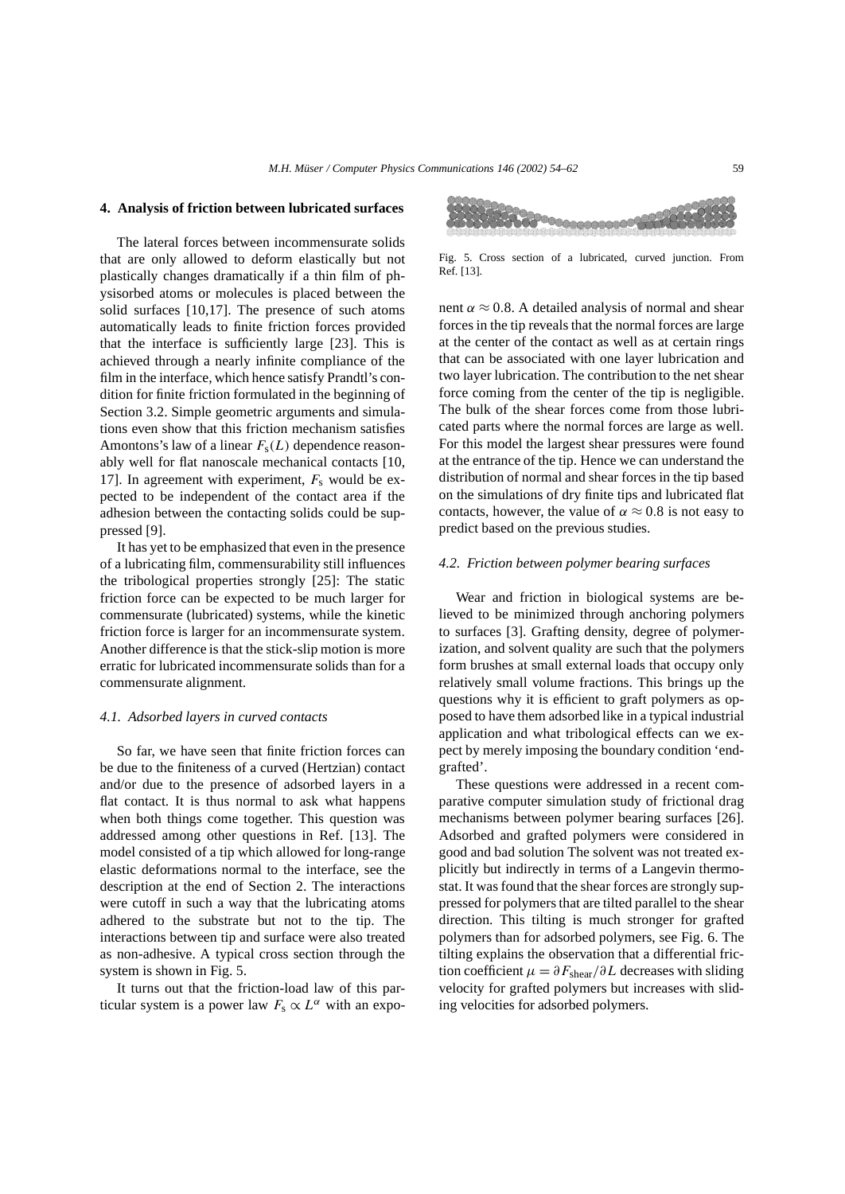### **4. Analysis of friction between lubricated surfaces**

The lateral forces between incommensurate solids that are only allowed to deform elastically but not plastically changes dramatically if a thin film of physisorbed atoms or molecules is placed between the solid surfaces [10,17]. The presence of such atoms automatically leads to finite friction forces provided that the interface is sufficiently large [23]. This is achieved through a nearly infinite compliance of the film in the interface, which hence satisfy Prandtl's condition for finite friction formulated in the beginning of Section 3.2. Simple geometric arguments and simulations even show that this friction mechanism satisfies Amontons's law of a linear *F*s*(L)* dependence reasonably well for flat nanoscale mechanical contacts [10, 17]. In agreement with experiment,  $F_s$  would be expected to be independent of the contact area if the adhesion between the contacting solids could be suppressed [9].

It has yet to be emphasized that even in the presence of a lubricating film, commensurability still influences the tribological properties strongly [25]: The static friction force can be expected to be much larger for commensurate (lubricated) systems, while the kinetic friction force is larger for an incommensurate system. Another difference is that the stick-slip motion is more erratic for lubricated incommensurate solids than for a commensurate alignment.

## *4.1. Adsorbed layers in curved contacts*

So far, we have seen that finite friction forces can be due to the finiteness of a curved (Hertzian) contact and/or due to the presence of adsorbed layers in a flat contact. It is thus normal to ask what happens when both things come together. This question was addressed among other questions in Ref. [13]. The model consisted of a tip which allowed for long-range elastic deformations normal to the interface, see the description at the end of Section 2. The interactions were cutoff in such a way that the lubricating atoms adhered to the substrate but not to the tip. The interactions between tip and surface were also treated as non-adhesive. A typical cross section through the system is shown in Fig. 5.

It turns out that the friction-load law of this particular system is a power law  $F_s \propto L^{\alpha}$  with an expo-



Fig. 5. Cross section of a lubricated, curved junction. From Ref. [13].

nent  $\alpha \approx 0.8$ . A detailed analysis of normal and shear forces in the tip reveals that the normal forces are large at the center of the contact as well as at certain rings that can be associated with one layer lubrication and two layer lubrication. The contribution to the net shear force coming from the center of the tip is negligible. The bulk of the shear forces come from those lubricated parts where the normal forces are large as well. For this model the largest shear pressures were found at the entrance of the tip. Hence we can understand the distribution of normal and shear forces in the tip based on the simulations of dry finite tips and lubricated flat contacts, however, the value of  $\alpha \approx 0.8$  is not easy to predict based on the previous studies.

## *4.2. Friction between polymer bearing surfaces*

Wear and friction in biological systems are believed to be minimized through anchoring polymers to surfaces [3]. Grafting density, degree of polymerization, and solvent quality are such that the polymers form brushes at small external loads that occupy only relatively small volume fractions. This brings up the questions why it is efficient to graft polymers as opposed to have them adsorbed like in a typical industrial application and what tribological effects can we expect by merely imposing the boundary condition 'endgrafted'.

These questions were addressed in a recent comparative computer simulation study of frictional drag mechanisms between polymer bearing surfaces [26]. Adsorbed and grafted polymers were considered in good and bad solution The solvent was not treated explicitly but indirectly in terms of a Langevin thermostat. It was found that the shear forces are strongly suppressed for polymers that are tilted parallel to the shear direction. This tilting is much stronger for grafted polymers than for adsorbed polymers, see Fig. 6. The tilting explains the observation that a differential friction coefficient  $\mu = \partial F_{\text{shear}} / \partial L$  decreases with sliding velocity for grafted polymers but increases with sliding velocities for adsorbed polymers.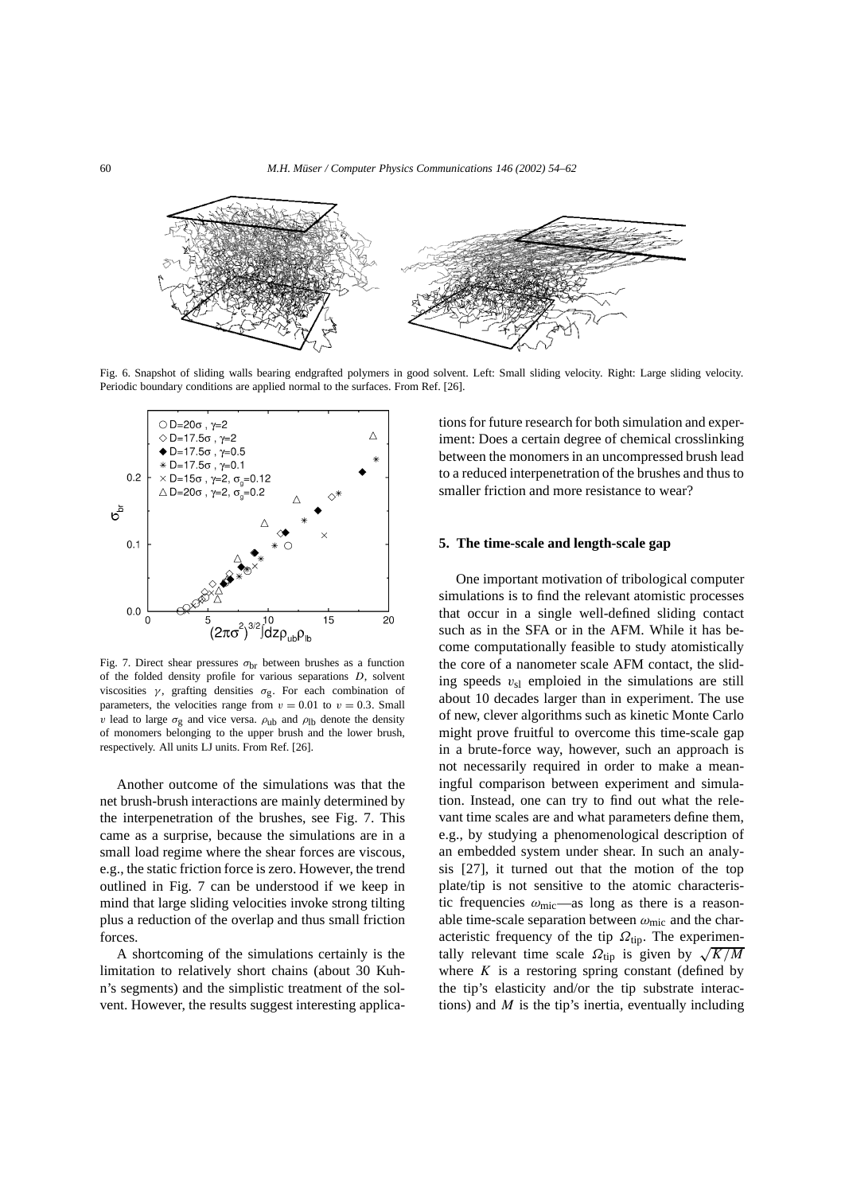

Fig. 6. Snapshot of sliding walls bearing endgrafted polymers in good solvent. Left: Small sliding velocity. Right: Large sliding velocity. Periodic boundary conditions are applied normal to the surfaces. From Ref. [26].



Fig. 7. Direct shear pressures  $\sigma_{\rm br}$  between brushes as a function of the folded density profile for various separations *D*, solvent viscosities  $\gamma$ , grafting densities  $\sigma_{\rm g}$ . For each combination of parameters, the velocities range from  $v = 0.01$  to  $v = 0.3$ . Small *v* lead to large  $\sigma$ g and vice versa.  $\rho$ <sub>ub</sub> and  $\rho$ <sub>lb</sub> denote the density of monomers belonging to the upper brush and the lower brush, respectively. All units LJ units. From Ref. [26].

Another outcome of the simulations was that the net brush-brush interactions are mainly determined by the interpenetration of the brushes, see Fig. 7. This came as a surprise, because the simulations are in a small load regime where the shear forces are viscous, e.g., the static friction force is zero. However, the trend outlined in Fig. 7 can be understood if we keep in mind that large sliding velocities invoke strong tilting plus a reduction of the overlap and thus small friction forces.

A shortcoming of the simulations certainly is the limitation to relatively short chains (about 30 Kuhn's segments) and the simplistic treatment of the solvent. However, the results suggest interesting applications for future research for both simulation and experiment: Does a certain degree of chemical crosslinking between the monomers in an uncompressed brush lead to a reduced interpenetration of the brushes and thus to smaller friction and more resistance to wear?

## **5. The time-scale and length-scale gap**

One important motivation of tribological computer simulations is to find the relevant atomistic processes that occur in a single well-defined sliding contact such as in the SFA or in the AFM. While it has become computationally feasible to study atomistically the core of a nanometer scale AFM contact, the sliding speeds  $v_{sl}$  emploied in the simulations are still about 10 decades larger than in experiment. The use of new, clever algorithms such as kinetic Monte Carlo might prove fruitful to overcome this time-scale gap in a brute-force way, however, such an approach is not necessarily required in order to make a meaningful comparison between experiment and simulation. Instead, one can try to find out what the relevant time scales are and what parameters define them, e.g., by studying a phenomenological description of an embedded system under shear. In such an analysis [27], it turned out that the motion of the top plate/tip is not sensitive to the atomic characteristic frequencies  $\omega_{\text{mic}}$ —as long as there is a reasonable time-scale separation between *ω*mic and the characteristic frequency of the tip *Ω*tip. The experimentally relevant time scale  $\Omega_{\text{tip}}$  is given by  $\sqrt{K/M}$ where  $K$  is a restoring spring constant (defined by the tip's elasticity and/or the tip substrate interactions) and *M* is the tip's inertia, eventually including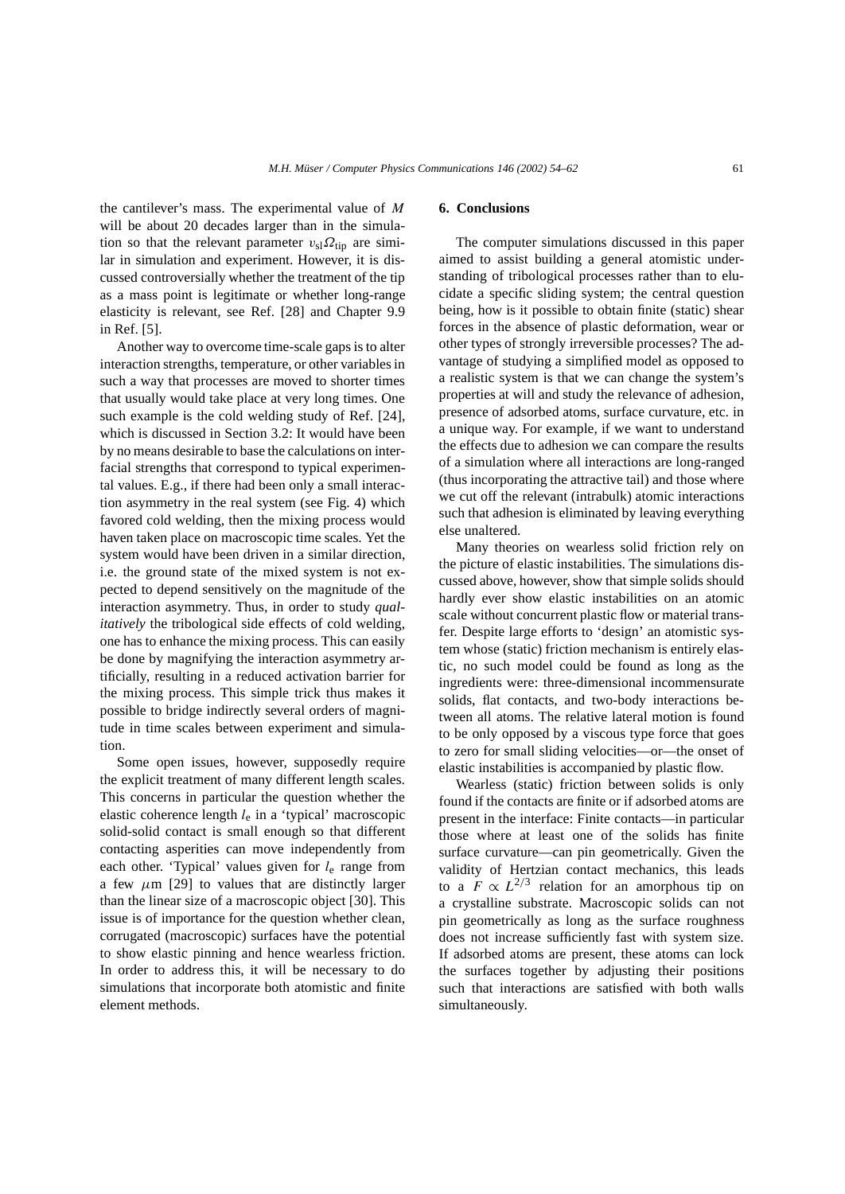the cantilever's mass. The experimental value of *M* will be about 20 decades larger than in the simulation so that the relevant parameter  $v_{sl}\Omega_{\text{tip}}$  are similar in simulation and experiment. However, it is discussed controversially whether the treatment of the tip as a mass point is legitimate or whether long-range elasticity is relevant, see Ref. [28] and Chapter 9.9 in Ref. [5].

Another way to overcome time-scale gaps is to alter interaction strengths, temperature, or other variables in such a way that processes are moved to shorter times that usually would take place at very long times. One such example is the cold welding study of Ref. [24], which is discussed in Section 3.2: It would have been by no means desirable to base the calculations on interfacial strengths that correspond to typical experimental values. E.g., if there had been only a small interaction asymmetry in the real system (see Fig. 4) which favored cold welding, then the mixing process would haven taken place on macroscopic time scales. Yet the system would have been driven in a similar direction, i.e. the ground state of the mixed system is not expected to depend sensitively on the magnitude of the interaction asymmetry. Thus, in order to study *qualitatively* the tribological side effects of cold welding, one has to enhance the mixing process. This can easily be done by magnifying the interaction asymmetry artificially, resulting in a reduced activation barrier for the mixing process. This simple trick thus makes it possible to bridge indirectly several orders of magnitude in time scales between experiment and simulation.

Some open issues, however, supposedly require the explicit treatment of many different length scales. This concerns in particular the question whether the elastic coherence length *l*<sup>e</sup> in a 'typical' macroscopic solid-solid contact is small enough so that different contacting asperities can move independently from each other. 'Typical' values given for *l*<sup>e</sup> range from a few  $\mu$ m [29] to values that are distinctly larger than the linear size of a macroscopic object [30]. This issue is of importance for the question whether clean, corrugated (macroscopic) surfaces have the potential to show elastic pinning and hence wearless friction. In order to address this, it will be necessary to do simulations that incorporate both atomistic and finite element methods.

## **6. Conclusions**

The computer simulations discussed in this paper aimed to assist building a general atomistic understanding of tribological processes rather than to elucidate a specific sliding system; the central question being, how is it possible to obtain finite (static) shear forces in the absence of plastic deformation, wear or other types of strongly irreversible processes? The advantage of studying a simplified model as opposed to a realistic system is that we can change the system's properties at will and study the relevance of adhesion, presence of adsorbed atoms, surface curvature, etc. in a unique way. For example, if we want to understand the effects due to adhesion we can compare the results of a simulation where all interactions are long-ranged (thus incorporating the attractive tail) and those where we cut off the relevant (intrabulk) atomic interactions such that adhesion is eliminated by leaving everything else unaltered.

Many theories on wearless solid friction rely on the picture of elastic instabilities. The simulations discussed above, however, show that simple solids should hardly ever show elastic instabilities on an atomic scale without concurrent plastic flow or material transfer. Despite large efforts to 'design' an atomistic system whose (static) friction mechanism is entirely elastic, no such model could be found as long as the ingredients were: three-dimensional incommensurate solids, flat contacts, and two-body interactions between all atoms. The relative lateral motion is found to be only opposed by a viscous type force that goes to zero for small sliding velocities—or—the onset of elastic instabilities is accompanied by plastic flow.

Wearless (static) friction between solids is only found if the contacts are finite or if adsorbed atoms are present in the interface: Finite contacts—in particular those where at least one of the solids has finite surface curvature—can pin geometrically. Given the validity of Hertzian contact mechanics, this leads to a  $F \propto L^{2/3}$  relation for an amorphous tip on a crystalline substrate. Macroscopic solids can not pin geometrically as long as the surface roughness does not increase sufficiently fast with system size. If adsorbed atoms are present, these atoms can lock the surfaces together by adjusting their positions such that interactions are satisfied with both walls simultaneously.